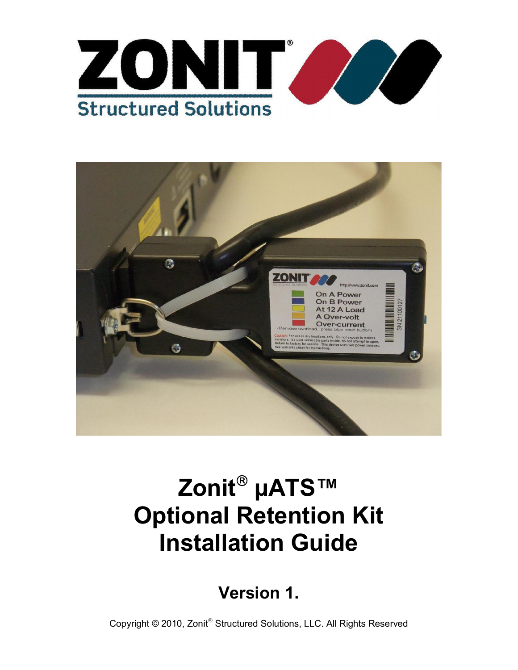



# Zonit<sup>®</sup> µATS™ **Optional Retention Kit Installation Guide**

**Version 1.**

Copyright © 2010, Zonit<sup>®</sup> Structured Solutions, LLC. All Rights Reserved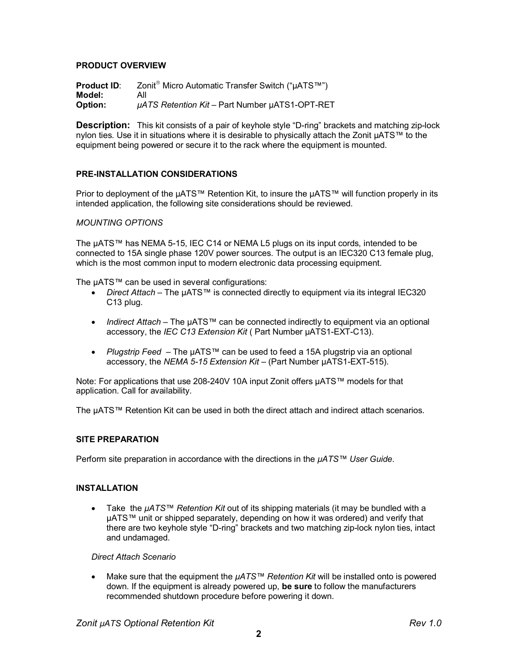## **PRODUCT OVERVIEW**

**Product ID:** Zonit<sup>®</sup> Micro Automatic Transfer Switch ("µATS™") **Model:** All **Option:** *µATS Retention Kit* – Part Number µATS1-OPT-RET

**Description:** This kit consists of a pair of keyhole style "D-ring" brackets and matching zip-lock nylon ties. Use it in situations where it is desirable to physically attach the Zonit µATS™ to the equipment being powered or secure it to the rack where the equipment is mounted.

## **PRE-INSTALLATION CONSIDERATIONS**

Prior to deployment of the µATS™ Retention Kit, to insure the µATS™ will function properly in its intended application, the following site considerations should be reviewed.

#### *MOUNTING OPTIONS*

The µATS™ has NEMA 5-15, IEC C14 or NEMA L5 plugs on its input cords, intended to be connected to 15A single phase 120V power sources. The output is an IEC320 C13 female plug, which is the most common input to modern electronic data processing equipment.

The µATS™ can be used in several configurations:

- *Direct Attach* The µATS™ is connected directly to equipment via its integral IEC320 C13 plug.
- *Indirect Attach*  The µATS™ can be connected indirectly to equipment via an optional accessory, the *IEC C13 Extension Kit* ( Part Number µATS1-EXT-C13).
- *Plugstrip Feed* The µATS™ can be used to feed a 15A plugstrip via an optional accessory, the *NEMA 5-15 Extension Kit* – (Part Number µATS1-EXT-515).

Note: For applications that use 208-240V 10A input Zonit offers µATS™ models for that application. Call for availability.

The µATS™ Retention Kit can be used in both the direct attach and indirect attach scenarios.

## **SITE PREPARATION**

Perform site preparation in accordance with the directions in the *µATS™ User Guide*.

## **INSTALLATION**

 Take the *µATS™ Retention Kit* out of its shipping materials (it may be bundled with a µATS™ unit or shipped separately, depending on how it was ordered) and verify that there are two keyhole style "D-ring" brackets and two matching zip-lock nylon ties, intact and undamaged.

*Direct Attach Scenario* 

 Make sure that the equipment the *µATS™ Retention Kit* will be installed onto is powered down. If the equipment is already powered up, **be sure** to follow the manufacturers recommended shutdown procedure before powering it down.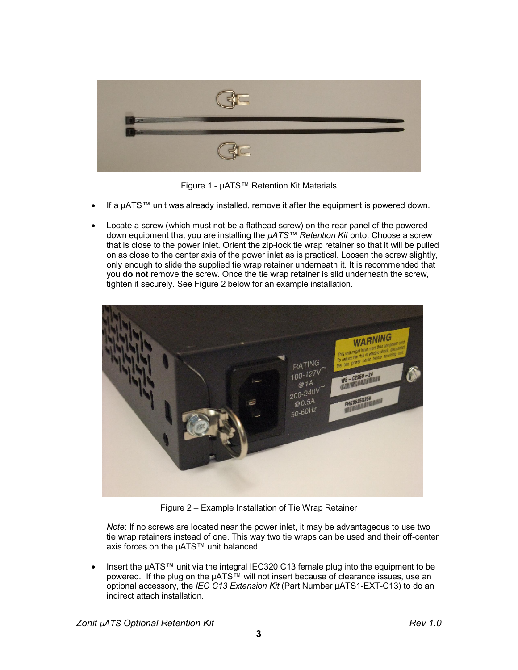

Figure 1 - µATS™ Retention Kit Materials

- If a µATS™ unit was already installed, remove it after the equipment is powered down.
- Locate a screw (which must not be a flathead screw) on the rear panel of the powereddown equipment that you are installing the *µATS™ Retention Kit* onto. Choose a screw that is close to the power inlet. Orient the zip-lock tie wrap retainer so that it will be pulled on as close to the center axis of the power inlet as is practical. Loosen the screw slightly, only enough to slide the supplied tie wrap retainer underneath it. It is recommended that you **do not** remove the screw. Once the tie wrap retainer is slid underneath the screw, tighten it securely. See Figure 2 below for an example installation.



Figure 2 – Example Installation of Tie Wrap Retainer

*Note*: If no screws are located near the power inlet, it may be advantageous to use two tie wrap retainers instead of one. This way two tie wraps can be used and their off-center axis forces on the µATS™ unit balanced.

• Insert the µATS™ unit via the integral IEC320 C13 female plug into the equipment to be powered. If the plug on the µATS™ will not insert because of clearance issues, use an optional accessory, the *IEC C13 Extension Kit* (Part Number µATS1-EXT-C13) to do an indirect attach installation.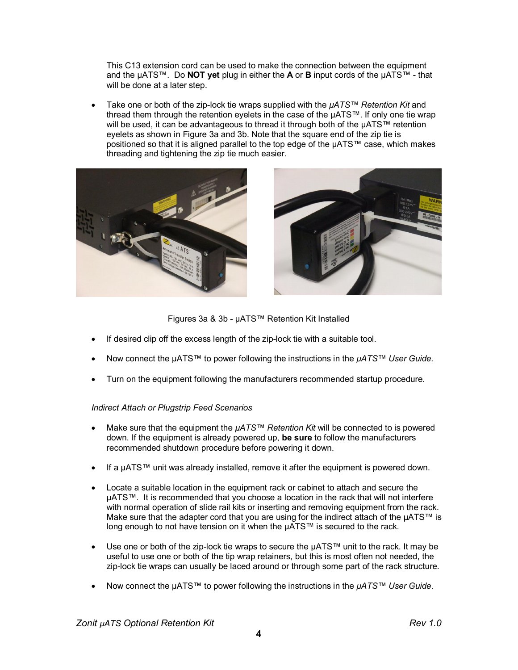This C13 extension cord can be used to make the connection between the equipment and the µATS™. Do **NOT yet** plug in either the **A** or **B** input cords of the µATS™ - that will be done at a later step.

 Take one or both of the zip-lock tie wraps supplied with the *µATS™ Retention Kit* and thread them through the retention eyelets in the case of the µATS™. If only one tie wrap will be used, it can be advantageous to thread it through both of the µATS™ retention eyelets as shown in Figure 3a and 3b. Note that the square end of the zip tie is positioned so that it is aligned parallel to the top edge of the µATS™ case, which makes threading and tightening the zip tie much easier.





Figures 3a & 3b - µATS™ Retention Kit Installed

- If desired clip off the excess length of the zip-lock tie with a suitable tool.
- Now connect the µATS™ to power following the instructions in the *µATS™ User Guide.*
- Turn on the equipment following the manufacturers recommended startup procedure.

## *Indirect Attach or Plugstrip Feed Scenarios*

- Make sure that the equipment the *µATS™ Retention Kit* will be connected to is powered down. If the equipment is already powered up, **be sure** to follow the manufacturers recommended shutdown procedure before powering it down.
- If a µATS™ unit was already installed, remove it after the equipment is powered down.
- Locate a suitable location in the equipment rack or cabinet to attach and secure the µATS™. It is recommended that you choose a location in the rack that will not interfere with normal operation of slide rail kits or inserting and removing equipment from the rack. Make sure that the adapter cord that you are using for the indirect attach of the  $\mu$ ATS™ is long enough to not have tension on it when the µATS™ is secured to the rack.
- Use one or both of the zip-lock tie wraps to secure the  $\mu A T S^{TM}$  unit to the rack. It may be useful to use one or both of the tip wrap retainers, but this is most often not needed, the zip-lock tie wraps can usually be laced around or through some part of the rack structure.
- Now connect the µATS™ to power following the instructions in the *µATS™ User Guide*.